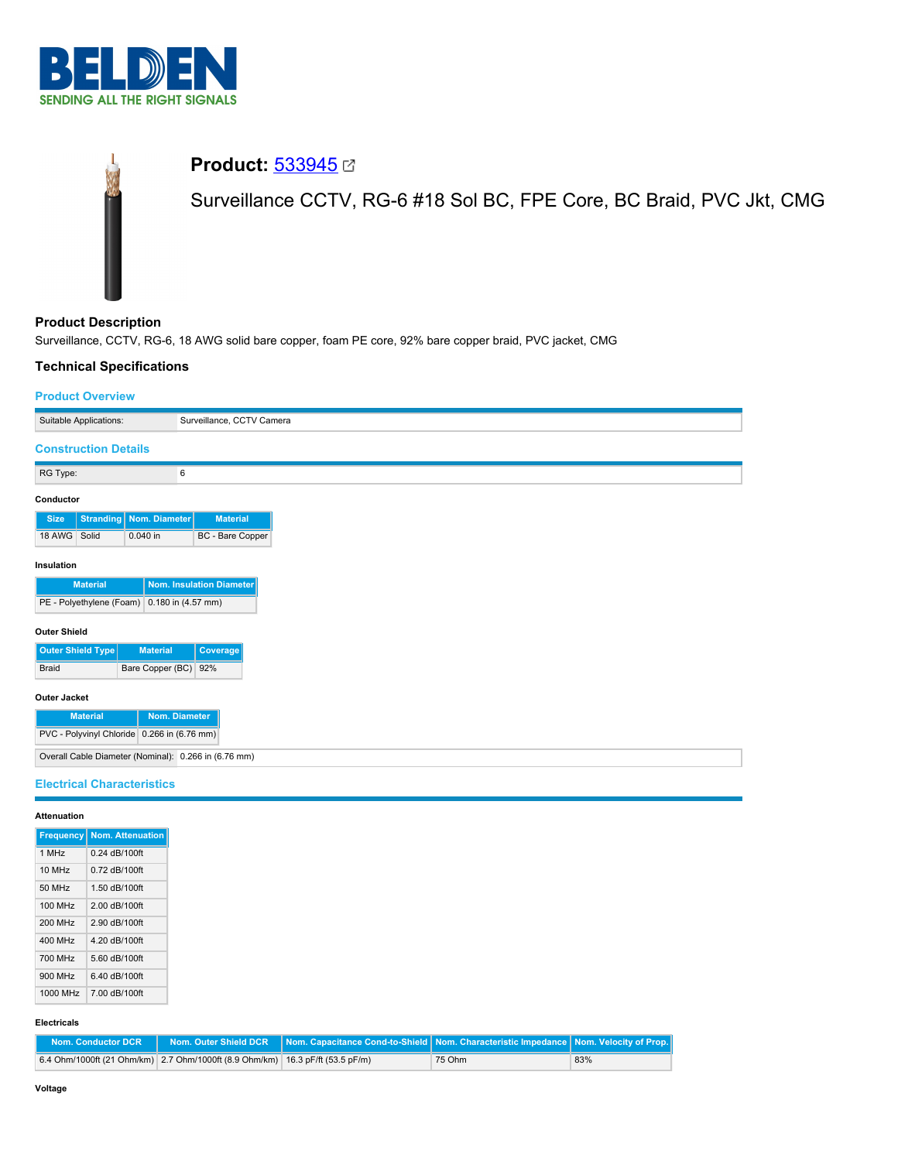

# **Product: [533945](https://catalog.belden.com/index.cfm?event=pd&p=PF_533945&tab=downloads) 27** Surveillance CCTV, RG-6 #18 Sol BC, FPE Core, BC Braid, PVC Jkt, CMG

**Product Description** Surveillance, CCTV, RG-6, 18 AWG solid bare copper, foam PE core, 92% bare copper braid, PVC jacket, CMG

# **Technical Specifications**

## **Product Overview**

| Suitable Applications:                               | Surveillance, CCTV Camera |
|------------------------------------------------------|---------------------------|
| <b>Construction Details</b>                          |                           |
| RG Type:                                             | 6                         |
| Conductor                                            |                           |
| <b>Stranding   Nom. Diameter</b><br><b>Size</b>      | <b>Material</b>           |
| 18 AWG Solid<br>0.040 in                             | BC - Bare Copper          |
| Insulation                                           |                           |
| <b>Material</b>                                      | Nom. Insulation Diameter  |
| PE - Polyethylene (Foam) 0.180 in (4.57 mm)          |                           |
| <b>Outer Shield</b>                                  |                           |
| Outer Shield Type<br><b>Material</b>                 | Coverage                  |
| Braid                                                | Bare Copper (BC) 92%      |
| Outer Jacket                                         |                           |
| <b>Material</b>                                      | Nom. Diameter             |
| PVC - Polyvinyl Chloride 0.266 in (6.76 mm)          |                           |
| Overall Cable Diameter (Nominal): 0.266 in (6.76 mm) |                           |
| <b>Electrical Characteristics</b>                    |                           |
| <b>Attenuation</b>                                   |                           |
| <b>Frequency Nom Attenuation</b>                     |                           |

| <b>Frequency</b> | <b>Nom. Attenuation</b> |
|------------------|-------------------------|
| 1 MHz            | 0.24 dB/100ft           |
| 10 MHz           | 0.72 dB/100ft           |
| 50 MHz           | 1.50 dB/100ft           |
| 100 MHz          | 2.00 dB/100ft           |
| 200 MHz          | 2.90 dB/100ft           |
| 400 MHz          | 4 20 dB/100ft           |
| 700 MHz          | 5.60 dB/100ft           |
| 900 MHz          | 6.40 dB/100ft           |
| 1000 MHz         | 7.00 dB/100ft           |

## **Electricals**

| Nom. Conductor DCR |                                                                               | │ Nom. Outer Shield DCR │Nom. Capacitance Cond-to-Shield│Nom. Characteristic Impedance│Nom. Velocity of Prop.│ |        |     |
|--------------------|-------------------------------------------------------------------------------|----------------------------------------------------------------------------------------------------------------|--------|-----|
|                    | 6.4 Ohm/1000ft (21 Ohm/km) 2.7 Ohm/1000ft (8.9 Ohm/km) 16.3 pF/ft (53.5 pF/m) |                                                                                                                | 75 Ohm | 83% |